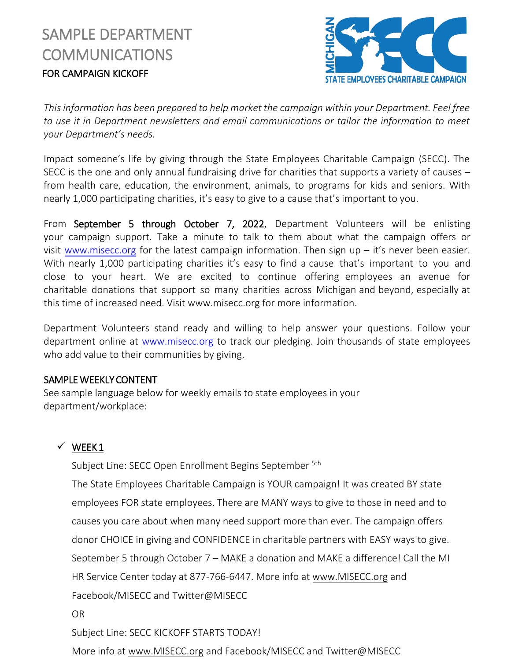# SAMPLE DEPARTMENT COMMUNICATIONS FOR CAMPAIGN KICKOFF



*This information has been prepared to help market the campaign within your Department. Feel free to use it in Department newsletters and email communications or tailor the information to meet your Department's needs.*

Impact someone's life by giving through the State Employees Charitable Campaign (SECC). The SECC is the one and only annual fundraising drive for charities that supports a variety of causes – from health care, education, the environment, animals, to programs for kids and seniors. With nearly 1,000 participating charities, it's easy to give to a cause that's important to you.

From September 5 through October 7, 2022, Department Volunteers will be enlisting your campaign support. Take a minute to talk to them about what the campaign offers or visit www.misecc.org for the latest campaign information. Then sign up  $-$  it's never been easier. With nearly 1,000 participating charities it's easy to find a cause that's important to you and close to your heart. We are excited to continue offering employees an avenue for charitable donations that support so many charities across Michigan and beyond, especially at this time of increased need. Visit www.misecc.org for more information.

Department Volunteers stand ready and willing to help answer your questions. Follow your department online at www.misecc.org to track our pledging. Join thousands of state employees who add value to their communities by giving.

#### SAMPLE WEEKLY CONTENT

See sample language below for weekly emails to state employees in your department/workplace:

## $\checkmark$  WEEK 1

Subject Line: SECC Open Enrollment Begins September <sup>5th</sup>

The State Employees Charitable Campaign is YOUR campaign! It was created BY state employees FOR state employees. There are MANY ways to give to those in need and to causes you care about when many need support more than ever. The campaign offers donor CHOICE in giving and CONFIDENCE in charitable partners with EASY ways to give. September 5 through October 7 – MAKE a donation and MAKE a difference! Call the MI HR Service Center today at 877-766-6447. More info at [www.MISECC.org](http://www.misecc.org/) and Facebook/MISECC and Twitter@MISECC

OR

Subject Line: SECC KICKOFF STARTS TODAY!

More info at [www.MISECC.org](http://www.misecc.org/) and Facebook/MISECC and Twitter@MISECC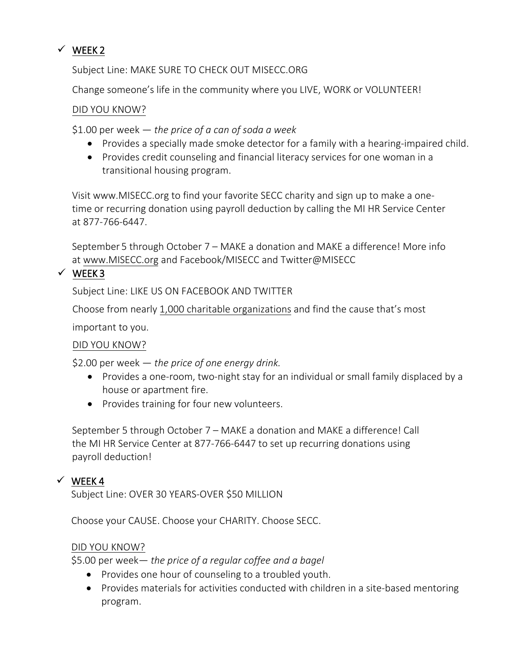## $\checkmark$  WEEK 2

Subject Line: MAKE SURE TO CHECK OUT MISECC.ORG

Change someone's life in the community where you LIVE, WORK or VOLUNTEER!

#### DID YOU KNOW?

\$1.00 per week — *the price of a can of soda a week*

- Provides a specially made smoke detector for a family with a hearing-impaired child.
- Provides credit counseling and financial literacy services for one woman in a transitional housing program.

Visit www.MISECC.org to find your favorite SECC charity and sign up to make a onetime or recurring donation using payroll deduction by calling the MI HR Service Center at 877-766-6447.

September 5 through October 7 – MAKE a donation and MAKE a difference! More info at [www.MISECC.org](http://www.misecc.org/) and Facebook/MISECC and Twitter@MISECC

#### $\checkmark$  WEEK 3

Subject Line: LIKE US ON FACEBOOK AND TWITTER

Choose from nearly 1,000 [charitable organization](http://www.misecc.org/charity_listings.html)s and find the cause that's most

important to you.

#### DID YOU KNOW?

\$2.00 per week — *the price of one energy drink.*

- Provides a one-room, two-night stay for an individual or small family displaced by a house or apartment fire.
- Provides training for four new volunteers.

September 5 through October 7 – MAKE a donation and MAKE a difference! Call the MI HR Service Center at 877-766-6447 to set up recurring donations using payroll deduction!

## $\checkmark$  WEEK 4

Subject Line: OVER 30 YEARS-OVER \$50 MILLION

Choose your CAUSE. Choose your CHARITY. Choose SECC.

#### DID YOU KNOW?

\$5.00 per week— *the price of a regular coffee and a bagel*

- Provides one hour of counseling to a troubled youth.
- Provides materials for activities conducted with children in a site-based mentoring program.